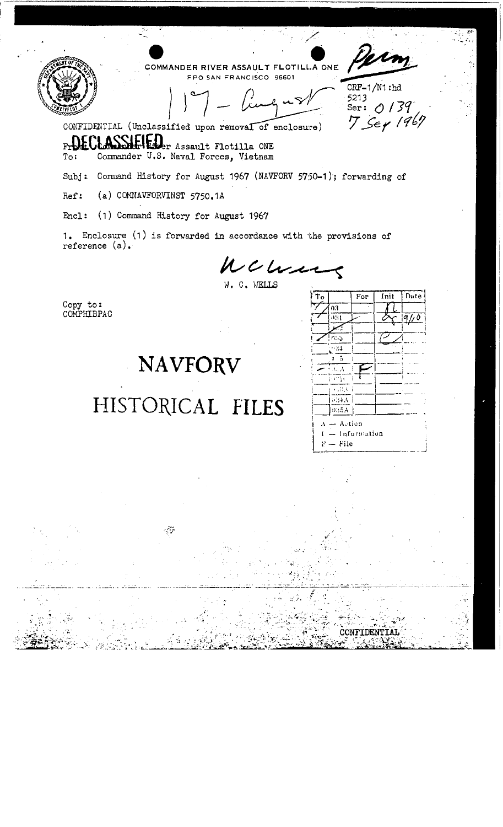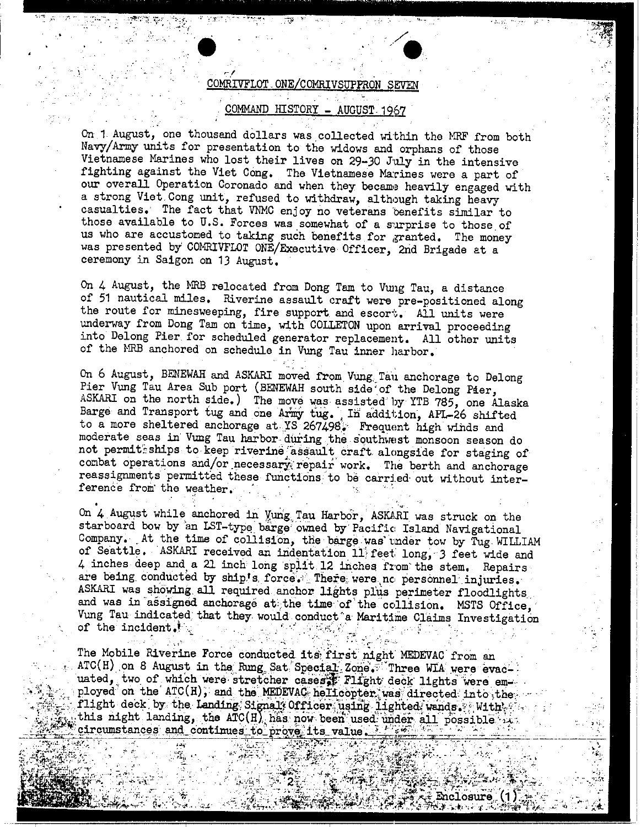.' • .. / r/ . . **'.**   ${\tt COMRIVFLOT}$  . ONE/COMRIVSUPPRON SEVE COMMAND HISTORY - AUGUST. 1967

On 1 August, one thousand dollars was. collected within the MRF from both Navy/Army units for presentation to the widows and orphans of those Vietnamese Marines who lost their lives on 29-30 July in the intensive fighting against the Viet Cong. The Vietnamese Marines were a part of our overall Operation Coronado and when they became heavily engaged with a strong Viet. Cong unit, refused to withdraw, although taking heavy casualties. The fact that VNMC enjoy no veterans 'benefits similar to those available to  $U.S.$  Forces was somewhat of a surprise to those of us who are accustomed to taking such benefits for granted. The money was presented by COMRIVFLOT ONE/Executive Officer, 2nd Brigade at a ceremony in Saigon on 13 August.

On 4 August, the MRB relocated from Dong Tam to Vung Tau, a distance of 51 nautical miles. Riverine assault craft were pre-positioned along the route for minesweeping, fire support and escort. All units were underway from Dong Tam on time, with COLLETON upon arrival proceeding into Delong Pier. for scheduled generator replacement. All other units of the HRB anchored on schedule in Vung Tau inner harbor.

On 6 August, BENEWAH and ASKARI moved from Vung. Tau anchorage to Delong Pier Vung Tau Area Sub port (BENEWAH south side of the Delong Pier, ASKARI on the north side.) The move was assisted' by YTB 785, one Alaska Barge and Transport tug and one Army tug. In addition, APL-26 shifted to a more sheltered anchorage at YS 267498. Frequent high winds and moderate seas in Vung Tau harbor during the southwest monsoon season do not permittships to keep riverine assault craft alongside for staging of combat operations and/or necessary repair work. The berth and anchorage reassignments permitted these functions to be carried out without interference from the weather.

On 4 August while anchored in Yung Tau Harbor, ASKARI was struck on the starboard bow by an LST-type barge owned by Pacific Island Navigational Company. At the time of collision, the barge was under tow by Tug WILLIAM of Seattle. ASKARI received an indentation 11 feet long, 3 feet wide and 4 inches deep and a 21 inch long split 12 inches from the stem. Repairs are being conducted by ship's force. There were no personnel injuries. ASKARI was showing all required anchor lights plus perimeter floodlights. Anshall was showing all required anchor lights plus perimeter floodlights and was in assigned anchorage at; the time of the collision. MSTS Office, Vung Tau indicated that they would conduct a Maritime Claims Investigation Vung Tau indicated that they would conduct a Maritime Claims Investigation of the incident.

The Mobile Riverine Force conducted its first night MEDEVAC from an ATC(H) on 8 August in the Rung Sat Special Zone. Three WIA were evacuated, two of which were stretcher cases. Flight deck lights were employed on the ATC(H), and the MEDEVAC helicopter was directed into the flight deck by the Landing Signal' Officer using lighted wands. With ... this night landing, the ATC(H) has now been used under all possible in circumstances and continues to prove its value. Its

Enclosure

.. ~

.<br>.<br>.  $\sim$   $\frac{1}{2}$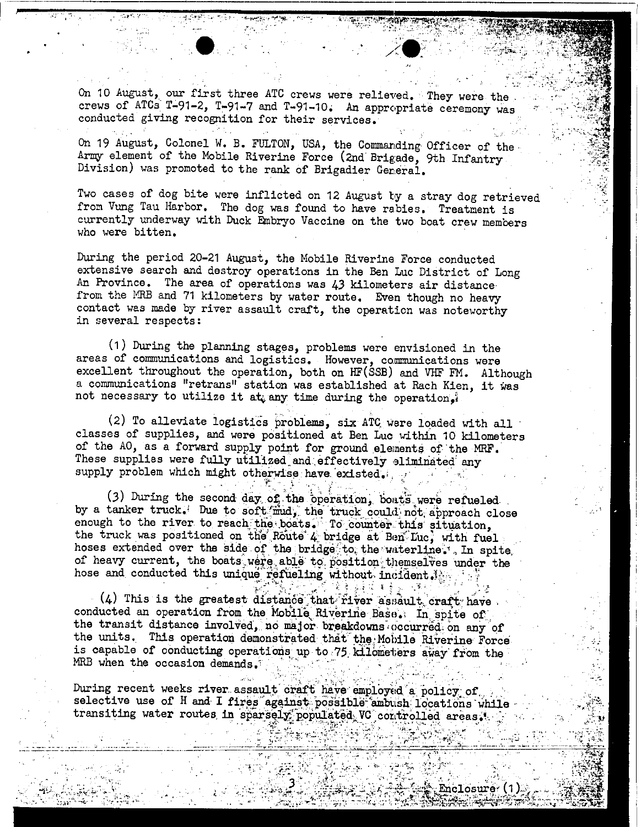On 10 August, our first three ATC crews were relieved. They were the crews of ATCs T-91-2, T-91-7 and T-91-10. An appropriate ceremony was conducted giving recognition for their services.

:' •...... / .'  $\chi$  .

 $\cdot$  , . .

On 19 August, Colonel W. B. FULTON, USA, the Commanding Officer of the· Army element of the Mobile Riverine Force (2nd Brigade, 9th Infantry Division) was promoted to the rank of Brigadier Gereral.

Two cases of dog bite were inflicted on 12 August by a stray dog retrieved from Vung Tau Harbor. The dog was found to have rabies. Treatment is currently underway with Duck Embryo Vaccine on the two boat crew members who were bitten.  $\blacksquare$ 

During the period 20-21 August, the Hobile Riverine Force conducted extensive search and destroy operations in the Ben Luc District of Long An Province. The area of operations was 43 kilometers air distance· from the MRB and 71 kilometers by water route. Even though no heavy contact was made by river assault craft, the operation was noteworthy in several respects:

(1) During the planning stages, problems were envisioned in the areas of communications and logistics. However, communications were excellent throughout the operation, both on HF(SSB) and VHF FM. Although a communications "retrans" station was established at Rach Kien, it was not necessary to utilize it at; any time during the operation,

(2) To alleviate logistics problems; six ATC, were loaded with all classes of supplies, and were positioned at Ben Luc within 10 kilometers of the AO, as a forward supply point for ground elements of the MRF. These supplies were fully utilized and effectively eliminated any supply problem which might otherwise have existed.<br>supply problem which might otherwise have existed.<br>(3) During the second day of the congration, bouts unp now.

(3) During the second day of the operation, boats were refueled by a tanker truck. Due to soft mud, the truck could not approach close enough to the river to reach the boats. To counter this situation, the truck was positioned on the Route 4, bridge at Ben Luc; with fuel hoses extended over the side of the bridge to the waterline; In spite, of heavy current, the boats were able to position themselves under the hose and conducted this unique refueling without incident.

 $(4)$  This is the greatest distance that river assault craft have conducted an operation from the Mobile Riverine Base. In spite of the transit distance involved, no major breakdowns occurred on any of the units. This operation demonstrated that the Mobile Riverine Force is capable of conducting operations up to 75 kilometers away from the WRB when the occasion demands.

During recent weeks river assault craft have employed a policy of selective use of H and I fires against possible ambush locations while transiting water routes in sparsely populated VC controlled areas.

 $\frac{1}{2}$  , ... , ...  $\frac{1}{2}$  of  $\frac{1}{2}$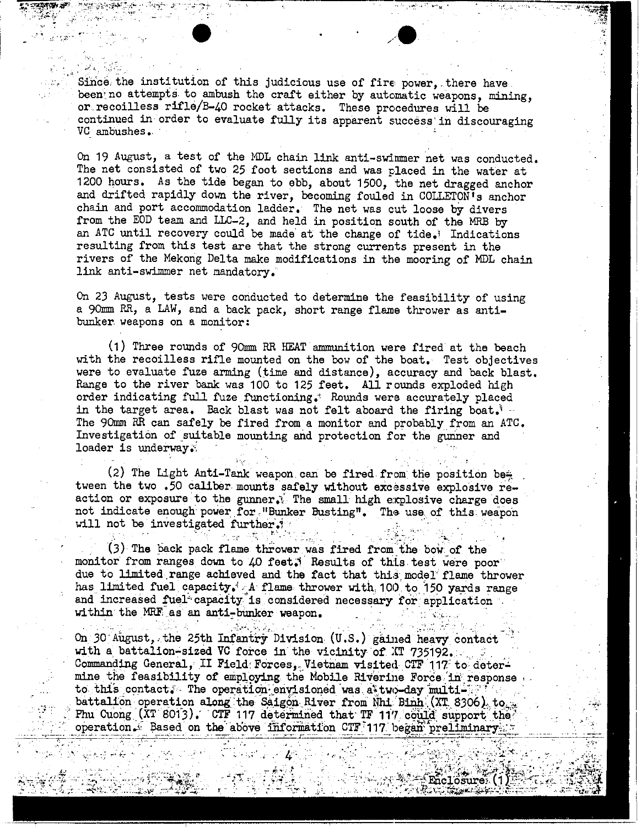, ...  $\frac{1}{2}$ Since, the institution of this judicious use of fire power, there have been no attempts to ambush the craft either by automatic weapons, mining, or. recoilless rifle/B-40 rocket attacks. These prccedures will be continued in order to evaluate fully its apparent success'in discouraging VC ambushes. .

 $\frac{1}{2}$  ,  $\frac{1}{2}$  ,  $\frac{1}{2}$  ,  $\frac{1}{2}$  ,  $\frac{1}{2}$  ,  $\frac{1}{2}$  ,  $\frac{1}{2}$  ,  $\frac{1}{2}$  ,  $\frac{1}{2}$  ,  $\frac{1}{2}$  ,  $\frac{1}{2}$  ,  $\frac{1}{2}$  ,  $\frac{1}{2}$  ,  $\frac{1}{2}$  ,  $\frac{1}{2}$  ,  $\frac{1}{2}$  ,  $\frac{1}{2}$  ,  $\frac{1}{2}$  ,  $\frac{1$ 

•<br>●<br>•

c·

On 19 August, a test of the MDL chain link anti-swimmer net was conducted. The net consisted of two 25 foot sections and was placed in the water at 1200 hours. As the tide began to ebb, about 1500, the net dragged anchor and drifted rapidly down the river, becoming fouled in COLLETON's anchor chain and port accommodation ladder. The net was cut loose by divers from the EOD team and LLC-2, and held in position south of the MRB by an ATC until recovery could be made at the change of tide.' Indications resulting from this test are that the strong currents present in the rivers of the Mekong Delta make modifications in the mooring of MDL chain link anti-swimmer net mandatory.

On 23 August, tests were conducted to determine the feasibility of using a 90mm RR, a LAW, and a back pack, short range flame thrower as antibunker weapons on a monitor:

(1) Three rounds of 90mm RR HEAT ammunition were fired at the beach with the recoilless rifle mounted on the bow of the boat. Test objectives were to evaluate fuze arming (time and distance), accuracy and back blast. Range to the river bank was 100 to 125 feet. All rounds exploded high order indicating full fuze functioning.' Rounds were accurately placed in the target area. Back blast was not felt aboard the firing boat.' The 90mm RR can safely be fired from a monitor and probably from an ATC. Investigation of suitable mounting and protection for the gunner and loader is underway.

(2) The Light Anti-Tank weapon can be fired from the position be $\frac{2}{5}$ tween the two .50 caliber mounts safely without excessive explosive reaction or exposure to the gunner. The small high explosive charge does not indicate enough power for. "Bunker Busting". The use of this weapon will not be investigated further.

 $(3)$  The back pack flame thrower was fired from the bow of the monitor from ranges down to 40 feet; Results of this test were poor due to limited range achieved and the fact that this model flame thrower has limited fuel capacity.'.A flame thrower with 100 to 150 yards range has functed fuel capacity. A finally thrower with 100 to 150 yards reand increased fuel capacity is considered necessary for application within the MRF as an anti-bunker weapon. monitor from randue to limited<br>has limited fuely<br>and increased futihin the MRF<br>within the MRF

On 30 August, the 25th Infantry Division  $(U.S.)$  gained heavy contact with a battalion-sized VC force in the vicinity of  $XT$  735192. Commanding General, II Field: Forces, Vietnam visited CTF 117 to determine the feasibility of employing the Mobile Riverine Force in response to this contact. The operation eny, is need was at two-day multibattalion operation along the Saigon River from Nhi Binh (XT 8306), to Fhu Cuong  $(XT 8013)$ . CTF 117 determined that TF 11'7 could support the  $\sim$  operation. Based on the above information CTF 117 began preliminary  $\sim$ 

: . $\mathcal{L}^{\prime}$ 

 $\mathcal{C} \cup \mathcal{C} \cup \mathcal{C} \cup \mathcal{C} \cup \mathcal{C}$  . Then  $\mathcal{C} \cup \mathcal{C} \cup \mathcal{C} \cup \mathcal{C}$  ,  $\mathcal{C} \cup \mathcal{C} \cup \mathcal{C} \cup \mathcal{C} \cup \mathcal{C} \cup \mathcal{C} \cup \mathcal{C} \cup \mathcal{C} \cup \mathcal{C} \cup \mathcal{C} \cup \mathcal{C} \cup \mathcal{C} \cup \mathcal{C} \cup \mathcal{C} \cup \mathcal{C} \cup \mathcal{C} \cup \mathcal{C} \cup \$